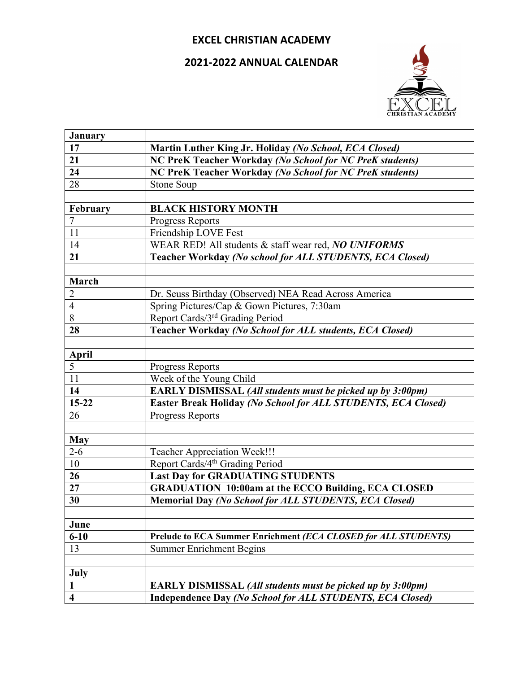## **EXCEL CHRISTIAN ACADEMY**

## **2021-2022 ANNUAL CALENDAR**



| <b>January</b>          |                                                                   |
|-------------------------|-------------------------------------------------------------------|
| 17                      | Martin Luther King Jr. Holiday (No School, ECA Closed)            |
| 21                      | NC PreK Teacher Workday (No School for NC PreK students)          |
| $\overline{24}$         | NC PreK Teacher Workday (No School for NC PreK students)          |
| 28                      | Stone Soup                                                        |
|                         |                                                                   |
| February                | <b>BLACK HISTORY MONTH</b>                                        |
| $\overline{7}$          | <b>Progress Reports</b>                                           |
| 11                      | Friendship LOVE Fest                                              |
| 14                      | WEAR RED! All students & staff wear red, NO UNIFORMS              |
| 21                      | Teacher Workday (No school for ALL STUDENTS, ECA Closed)          |
|                         |                                                                   |
| March                   |                                                                   |
| $\overline{c}$          | Dr. Seuss Birthday (Observed) NEA Read Across America             |
| $\overline{4}$          | Spring Pictures/Cap & Gown Pictures, 7:30am                       |
| $\overline{8}$          | Report Cards/3 <sup>rd</sup> Grading Period                       |
| 28                      | Teacher Workday (No School for ALL students, ECA Closed)          |
|                         |                                                                   |
| <b>April</b>            |                                                                   |
| 5                       | Progress Reports                                                  |
| 11                      | Week of the Young Child                                           |
| 14                      | EARLY DISMISSAL (All students must be picked up by 3:00pm)        |
| $15 - 22$               | Easter Break Holiday (No School for ALL STUDENTS, ECA Closed)     |
| 26                      | <b>Progress Reports</b>                                           |
|                         |                                                                   |
| <b>May</b>              |                                                                   |
| $2 - 6$                 | Teacher Appreciation Week!!!                                      |
| 10                      | Report Cards/4 <sup>th</sup> Grading Period                       |
| 26                      | <b>Last Day for GRADUATING STUDENTS</b>                           |
| 27                      | <b>GRADUATION 10:00am at the ECCO Building, ECA CLOSED</b>        |
| 30                      | <b>Memorial Day (No School for ALL STUDENTS, ECA Closed)</b>      |
|                         |                                                                   |
| June                    |                                                                   |
| $6 - 10$                | Prelude to ECA Summer Enrichment (ECA CLOSED for ALL STUDENTS)    |
| 13                      | <b>Summer Enrichment Begins</b>                                   |
|                         |                                                                   |
| July                    |                                                                   |
| 1                       | <b>EARLY DISMISSAL (All students must be picked up by 3:00pm)</b> |
| $\overline{\mathbf{4}}$ | Independence Day (No School for ALL STUDENTS, ECA Closed)         |